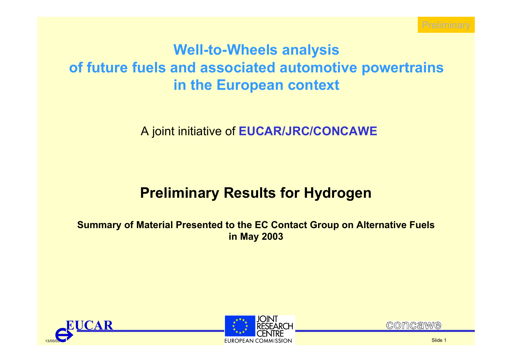

# **Well-to-Wheels analysis of future fuels and associated automotive powertrains in the European context**

A joint initiative of **EUCAR/JRC/CONCAWE**

# **Preliminary Results for Hydrogen**

**Summary of Material Presented to the EC Contact Group on Alternative Fuels in May 2003**





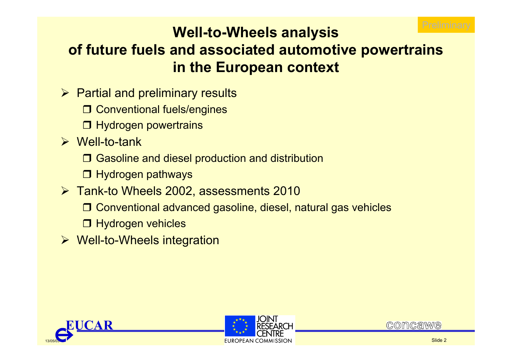

# **Well-to-Wheels analysis of future fuels and associated automotive powertrains in the European context**

- $\triangleright$  Partial and preliminary results
	- □ Conventional fuels/engines
	- **□ Hydrogen powertrains**
- ¾ Well-to-tank
	- **□ Gasoline and diesel production and distribution**
	- **□ Hydrogen pathways**
- ¾ Tank-to Wheels 2002, assessments 2010
	- □ Conventional advanced gasoline, diesel, natural gas vehicles
	- **□ Hydrogen vehicles**
- ¾ Well-to-Wheels integration





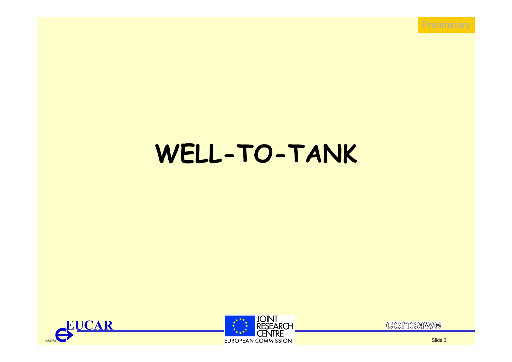# **WELL-TO-TANK**





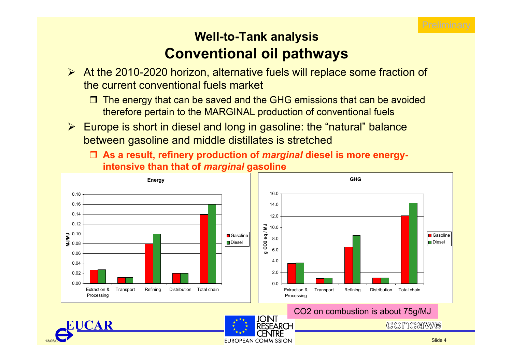

# **Well-to-Tank analysis Conventional oil pathways**

- ¾ At the 2010-2020 horizon, alternative fuels will replace some fraction of the current conventional fuels market
	- $\Box$  The energy that can be saved and the GHG emissions that can be avoided therefore pertain to the MARGINAL production of conventional fuels
- ¾ Europe is short in diesel and long in gasoline: the "natural" balance between gasoline and middle distillates is stretched
	- **As a result, refinery production of** *marginal* **diesel is more energyintensive than that of** *marginal* **gasoline**



EUROPEAN COMMISSION

13/05/03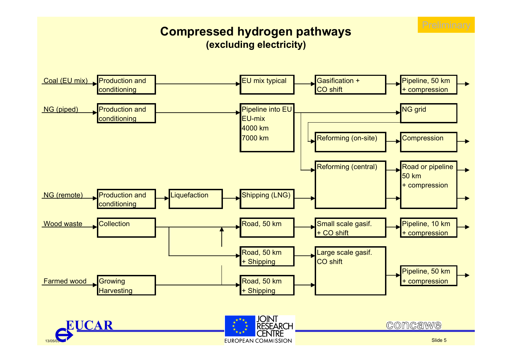

### **Compressed hydrogen pathways (excluding electricity)**

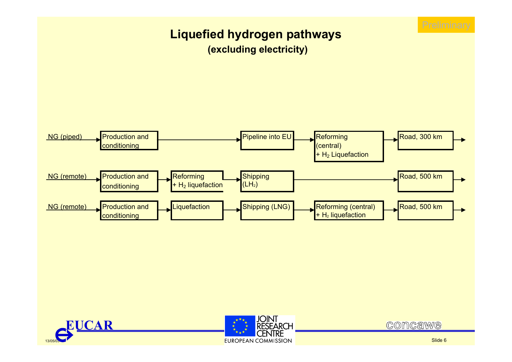

### **Liquefied hydrogen pathways (excluding electricity)**







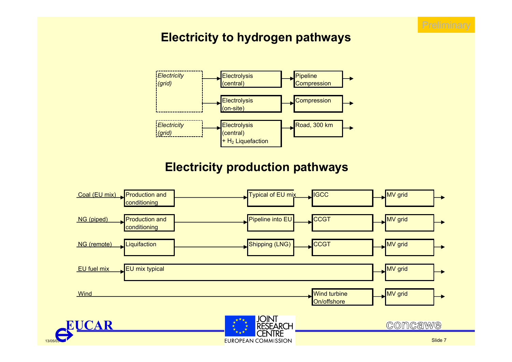

### **Electricity to hydrogen pathways**



### **Electricity production pathways**



13/05/03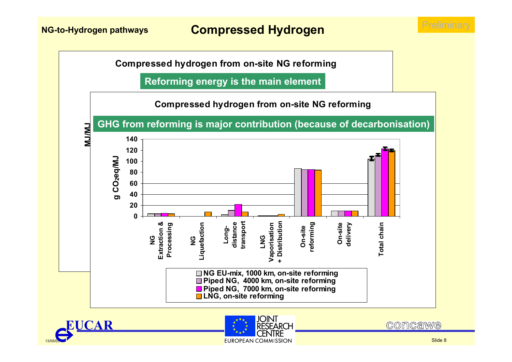**Compressed hydrogen from on-site NG reforming**

**Reforming energy is the main element**







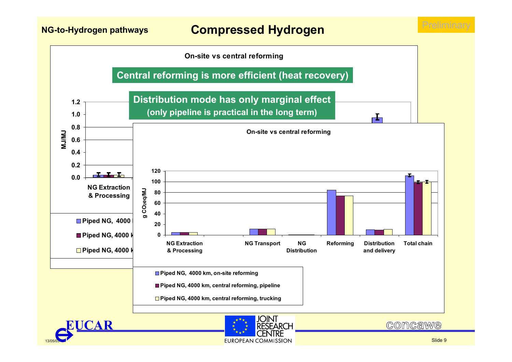**NG-to-Hydrogen pathways Compressed Hydrogen**







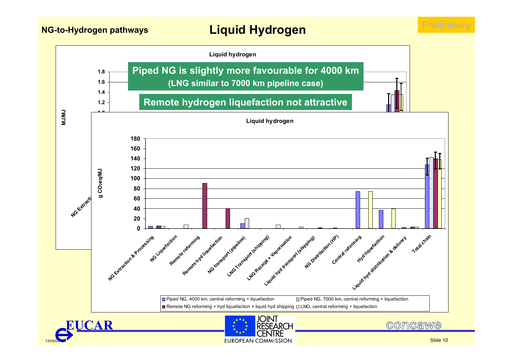13/05/03

**NG-to-Hydrogen pathways Liquid Hydrogen**



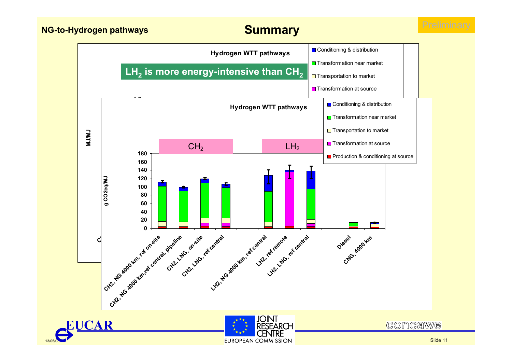13/05/03



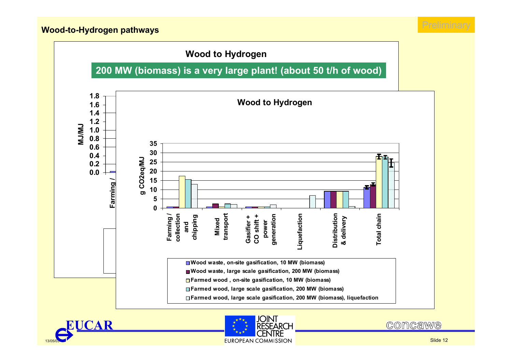





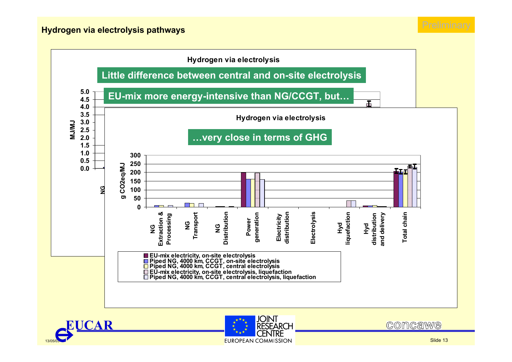





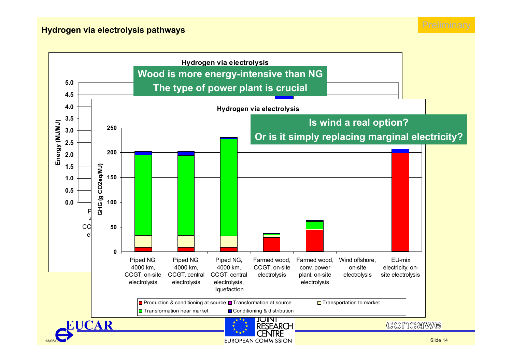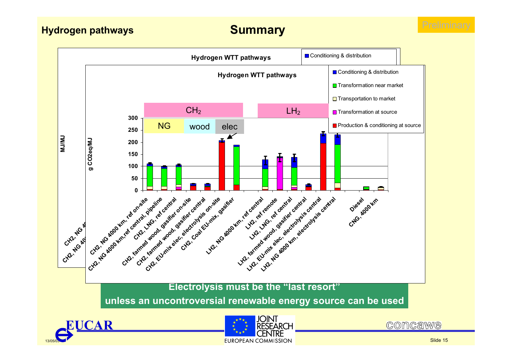

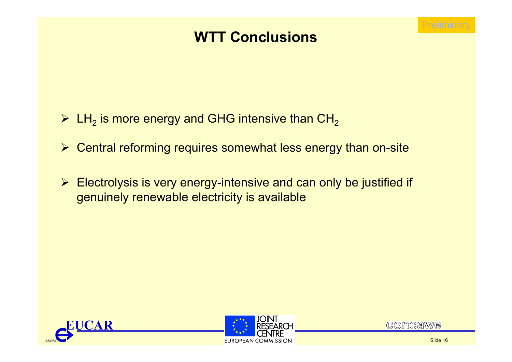

# **WTT Conclusions**

- $\triangleright$  LH<sub>2</sub> is more energy and GHG intensive than CH<sub>2</sub>
- ¾ Central reforming requires somewhat less energy than on-site
- ¾ Electrolysis is very energy-intensive and can only be justified if genuinely renewable electricity is available





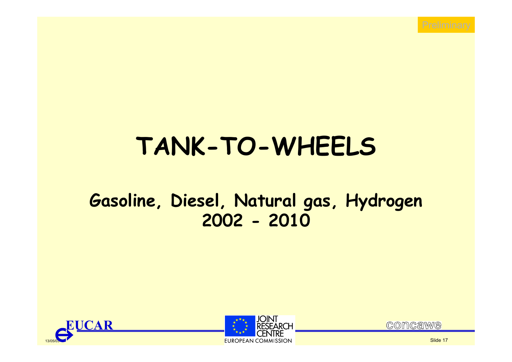

# **TANK-TO-WHEELS**

# **Gasoline, Diesel, Natural gas, Hydrogen 2002 - 2010**







Slide 17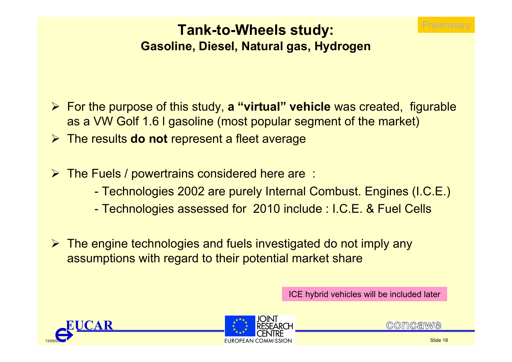

### **Tank-to-Wheels study: Gasoline, Diesel, Natural gas, Hydrogen**

- ¾ For the purpose of this study, **a "virtual" vehicle** was created, figurable as a VW Golf 1.6 l gasoline (most popular segment of the market)
- ¾ The results **do not** represent a fleet average
- ¾ The Fuels / powertrains considered here are :
	- -Technologies 2002 are purely Internal Combust. Engines (I.C.E.)
	- -Technologies assessed for 2010 include : I.C.E. & Fuel Cells
- ¾ The engine technologies and fuels investigated do not imply any assumptions with regard to their potential market share

ICE hybrid vehicles will be included later





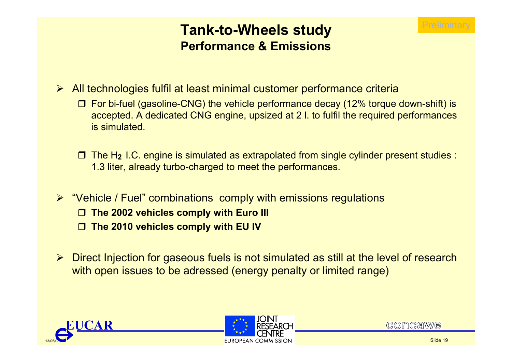## **Tank-to-Wheels study Performance & Emissions**

- ¾ All technologies fulfil at least minimal customer performance criteria
	- For bi-fuel (gasoline-CNG) the vehicle performance decay (12% torque down-shift) is accepted. A dedicated CNG engine, upsized at 2 l. to fulfil the required performances is simulated.
	- The H**2** I.C. engine is simulated as extrapolated from single cylinder present studies : 1.3 liter, already turbo-charged to meet the performances.
- ¾ "Vehicle / Fuel" combinations comply with emissions regulations
	- **The 2002 vehicles comply with Euro III**
	- $\Box$ **The 2010 vehicles comply with EU IV**
- ¾ Direct Injection for gaseous fuels is not simulated as still at the level of research with open issues to be adressed (energy penalty or limited range)





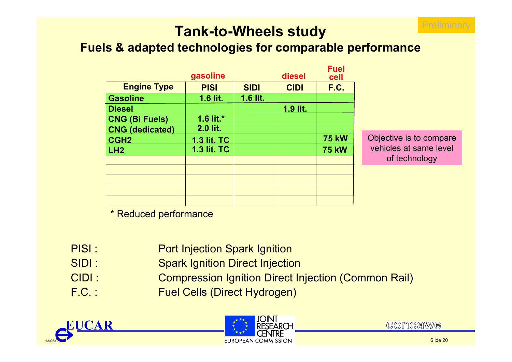

# **Tank-to-Wheels study**

### **Fuels & adapted technologies for comparable performance**

|                        | gasoline           |             | diesel      | <b>Fuel</b><br>cell |
|------------------------|--------------------|-------------|-------------|---------------------|
| <b>Engine Type</b>     | <b>PISI</b>        | <b>SIDI</b> | <b>CIDI</b> | F.C.                |
| <b>Gasoline</b>        | 1.6 lit.           | 1.6 lit.    |             |                     |
| <b>Diesel</b>          |                    |             | 1.9 lit.    |                     |
| <b>CNG (Bi Fuels)</b>  | 1.6 lit. $*$       |             |             |                     |
| <b>CNG (dedicated)</b> | 2.0 lit.           |             |             |                     |
| CGH <sub>2</sub>       | <b>1.3 lit. TC</b> |             |             | <b>75 kW</b>        |
| LH <sub>2</sub>        | <b>1.3 lit. TC</b> |             |             | <b>75 kW</b>        |
|                        |                    |             |             |                     |
|                        |                    |             |             |                     |
|                        |                    |             |             |                     |
|                        |                    |             |             |                     |
|                        |                    |             |             |                     |

Objective is to compare vehicles at same level of technology

\* Reduced performance

- PISI :Port Injection Spark Ignition
- SIDI :Spark Ignition Direct Injection
- CIDI :Compression Ignition Direct Injection (Common Rail)
- F.C. : Fuel Cells (Direct Hydrogen)





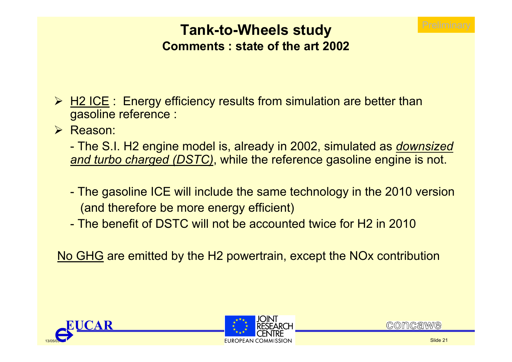

### **Tank-to-Wheels study Comments : state of the art 2002**

- **► H2 ICE**: Energy efficiency results from simulation are better than gasoline reference :
- ¾ Reason:
	- - The S.I. H2 engine model is, already in 2002, simulated as *downsized and turbo charged (DSTC)*, while the reference gasoline engine is not.
	- - The gasoline ICE will include the same technology in the 2010 version (and therefore be more energy efficient)
	- The benefit of DSTC will not be accounted twice for H2 in 2010

No GHG are emitted by the H2 powertrain, except the NOx contribution





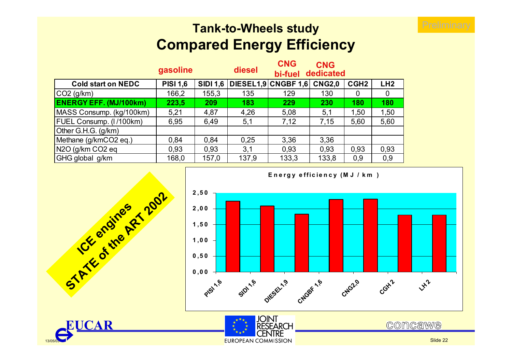# **Tank-to-Wheels study Compared Energy Efficiency**

|                               | gasoline        |                 | diesel | <b>CNG</b><br>bi-fuel | <b>CNG</b><br>dedicated |                  |                 |
|-------------------------------|-----------------|-----------------|--------|-----------------------|-------------------------|------------------|-----------------|
| <b>Cold start on NEDC</b>     | <b>PISI 1,6</b> | <b>SIDI 1,6</b> |        | DIESEL1,9 CNGBF 1,6   | <b>CNG2,0</b>           | CGH <sub>2</sub> | LH <sub>2</sub> |
| $\vert$ CO2 (g/km)            | 166,2           | 155,3           | 135    | 129                   | 130                     | O                | 0               |
| <b>ENERGY EFF. (MJ/100km)</b> | 223,5           | 209             | 183    | 229                   | 230                     | 180              | 180             |
| MASS Consump. (kg/100km)      | 5,21            | 4,87            | 4,26   | 5,08                  | 5,1                     | 1,50             | 1,50            |
| FUEL Consump. (1/100km)       | 6,95            | 6,49            | 5,1    | 7,12                  | 7,15                    | 5,60             | 5,60            |
| Other G.H.G. $(g/km)$         |                 |                 |        |                       |                         |                  |                 |
| Methane (g/kmCO2 eq.)         | 0,84            | 0.84            | 0,25   | 3,36                  | 3,36                    |                  |                 |
| $N2O$ (g/km CO2 eq            | 0,93            | 0,93            | 3,1    | 0,93                  | 0.93                    | 0,93             | 0,93            |
| GHG global g/km               | 168,0           | 157,0           | 137,9  | 133,3                 | 133,8                   | 0,9              | 0,9             |



**EUCAR**

13/05/03







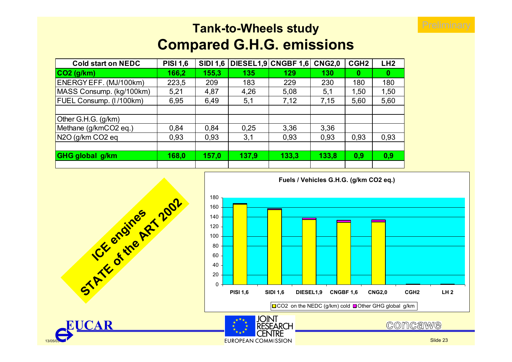## **Tank-to-Wheels study Compared G.H.G. emissions**

**EUROPEAN COMMISSION** 

| <b>Cold start on NEDC</b> | <b>PISI 1,6</b> | <b>SIDI 1,6</b> |       | DIESEL1,9 CNGBF 1,6 | <b>CNG2,0</b> | CGH <sub>2</sub> | LH <sub>2</sub> |
|---------------------------|-----------------|-----------------|-------|---------------------|---------------|------------------|-----------------|
| $CO2$ (g/km)              | 166,2           | 155,3           | 135   | 129                 | 130           | 0                | 0               |
| ENERGY EFF. (MJ/100km)    | 223,5           | 209             | 183   | 229                 | 230           | 180              | 180             |
| MASS Consump. (kg/100km)  | 5,21            | 4,87            | 4,26  | 5,08                | 5,1           | 1,50             | 1,50            |
| FUEL Consump. (I/100km)   | 6,95            | 6,49            | 5,1   | 7,12                | 7,15          | 5,60             | 5,60            |
|                           |                 |                 |       |                     |               |                  |                 |
| Other G.H.G. (g/km)       |                 |                 |       |                     |               |                  |                 |
| Methane (g/kmCO2 eq.)     | 0,84            | 0,84            | 0,25  | 3,36                | 3,36          |                  |                 |
| N2O (g/km CO2 eq          | 0,93            | 0,93            | 3,1   | 0,93                | 0,93          | 0,93             | 0,93            |
|                           |                 |                 |       |                     |               |                  |                 |
| <b>GHG global g/km</b>    | 168,0           | 157,0           | 137,9 | 133,3               | 133,8         | 0,9              | 0,9             |
|                           |                 |                 |       |                     |               |                  |                 |





13/05/03

**EUCAR**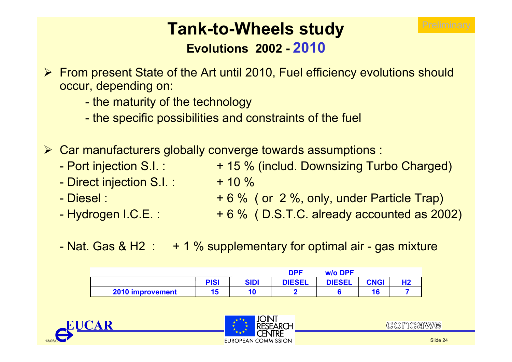

# **Tank-to-Wheels study Evolutions 2002 - 2010**

- ¾ From present State of the Art until 2010, Fuel efficiency evolutions should occur, depending on:
	- -- the maturity of the technology
	- the specific possibilities and constraints of the fuel
- ¾ Car manufacturers globally converge towards assumptions :
	- Port injection S.I. :
	- -- Direct injection S.I. :  $\quad\quad\,$  + 10 %  $\,$
	- Diesel:
	- Hydrogen I.C.E.:
- + 15 % (includ. Downsizing Turbo Charged)
- + 6 % ( or 2 %, only, under Particle Trap)
- + 6 % ( D.S.T.C. already accounted as 2002
- Nat. Gas & H2 : + 1 % supplementary for optimal air - gas mixture

|                  |             |             | DPF           | <b>w/o DPF</b> |             |  |
|------------------|-------------|-------------|---------------|----------------|-------------|--|
|                  | <b>PISI</b> | <b>SIDI</b> | <b>DIESEL</b> | <b>DIESEL</b>  | <b>CNGI</b> |  |
| 2010 improvement | 15          |             |               |                |             |  |





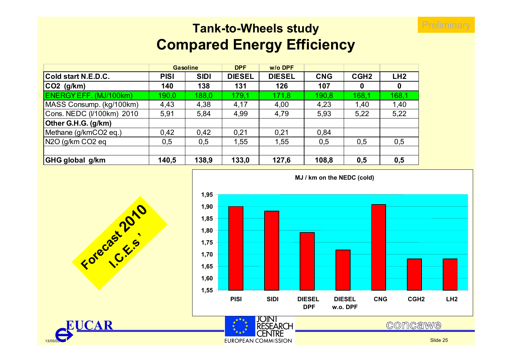# **Tank-to-Wheels study Compared Energy Efficiency**

|                           |             | <b>Gasoline</b> | <b>DPF</b>    | w/o DPF       |            |                  |       |
|---------------------------|-------------|-----------------|---------------|---------------|------------|------------------|-------|
| Cold start N.E.D.C.       | <b>PISI</b> | <b>SIDI</b>     | <b>DIESEL</b> | <b>DIESEL</b> | <b>CNG</b> | CGH <sub>2</sub> | LH2   |
| CO2 (g/km)                | 140         | 138             | 131           | 126           | 107        | 0                | 0     |
| ENERGY EFF. (MJ/100km)    | 190,0       | 188,0           | 179,1         | 171,8         | 190,8      | 168,1            | 168,1 |
| MASS Consump. (kg/100km)  | 4,43        | 4,38            | 4,17          | 4,00          | 4,23       | 1,40             | 1,40  |
| Cons. NEDC (I/100km) 2010 | 5,91        | 5,84            | 4,99          | 4,79          | 5,93       | 5,22             | 5,22  |
| Other G.H.G. (g/km)       |             |                 |               |               |            |                  |       |
| Methane (g/kmCO2 eq.)     | 0.42        | 0,42            | 0,21          | 0,21          | 0,84       |                  |       |
| $N2O$ (g/km CO2 eq        | 0,5         | 0,5             | 1,55          | 1,55          | 0,5        | 0,5              | 0,5   |
|                           |             |                 |               |               |            |                  |       |
| GHG global g/km           | 140,5       | 138,9           | 133,0         | 127,6         | 108,8      | 0,5              | 0,5   |





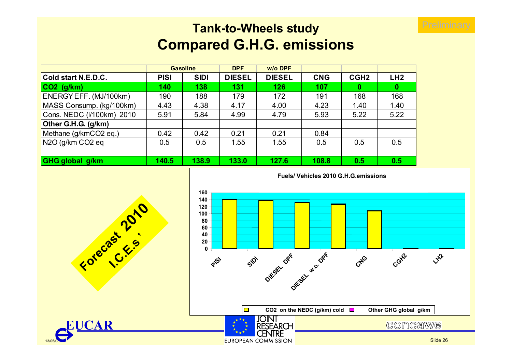## **Tank-to-Wheels study Compared G.H.G. emissions**

|                            |             | <b>Gasoline</b> | <b>DPF</b>    | $W/O$ DPF     |            |                  |      |
|----------------------------|-------------|-----------------|---------------|---------------|------------|------------------|------|
| <b>Cold start N.E.D.C.</b> | <b>PISI</b> | <b>SIDI</b>     | <b>DIESEL</b> | <b>DIESEL</b> | <b>CNG</b> | CGH <sub>2</sub> | LH2  |
| CO2 (g/km)                 | 140         | 138             | 131           | 126           | 107        | $\bf{0}$         | 0    |
| ENERGY EFF. (MJ/100km)     | 190         | 188             | 179           | 172           | 191        | 168              | 168  |
| MASS Consump. (kg/100km)   | 4.43        | 4.38            | 4.17          | 4.00          | 4.23       | 1.40             | 1.40 |
| Cons. NEDC (I/100km) 2010  | 5.91        | 5.84            | 4.99          | 4.79          | 5.93       | 5.22             | 5.22 |
| Other G.H.G. (g/km)        |             |                 |               |               |            |                  |      |
| Methane (g/kmCO2 eq.)      | 0.42        | 0.42            | 0.21          | 0.21          | 0.84       |                  |      |
| $N2O$ (g/km CO2 eq         | 0.5         | 0.5             | 1.55          | 1.55          | 0.5        | 0.5              | 0.5  |
|                            |             |                 |               |               |            |                  |      |
| GHG global g/km            | 140.5       | 138.9           | 133.0         | 127.6         | 108.8      | 0.5              | 0.5  |





13/05/03

**EUCAR**

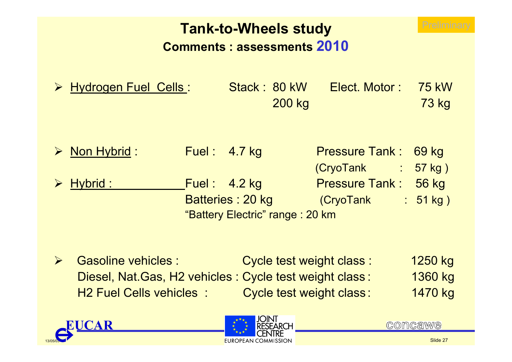# **Tank-to-Wheels study Comments : assessments 2010**

| > Hydrogen Fuel Cells: | Stack: 80 kW | Elect. Motor: 75 kW |       |
|------------------------|--------------|---------------------|-------|
|                        | 200 kg       |                     | 73 kg |
|                        |              |                     |       |

| $\triangleright$ Non Hybrid : | <b>Fuel: 4.7 kg</b>             | Pressure Tank: 69 kg |                      |
|-------------------------------|---------------------------------|----------------------|----------------------|
|                               |                                 | $(CryoTank$ : 57 kg) |                      |
| $\triangleright$ Hybrid :     | Fuel: $4.2$ kg                  | Pressure Tank: 56 kg |                      |
|                               | Batteries: 20 kg                | (CryoTank            | $\frac{1}{2}$ 51 kg) |
|                               | "Battery Electric" range: 20 km |                      |                      |

 $\blacktriangleright$ Gasoline vehicles : Cycle test weight class : 1250 kg Diesel, Nat.Gas, H2 vehicles : Cycle test weight class : 1360 kg H2 Fuel Cells vehicles :Cycle test weight class: 1470 kg





**COMCAWE**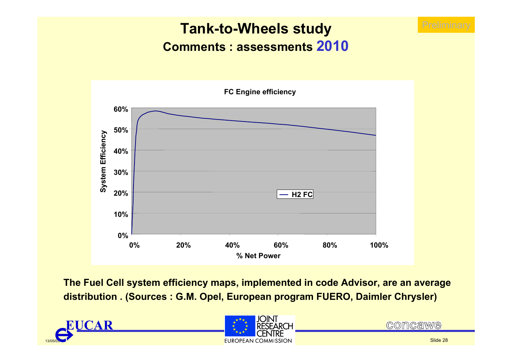# **Tank-to-Wheels study Comments : assessments 2010**



**The Fuel Cell system efficiency maps, implemented in code Advisor, are an average distribution . (Sources : G.M. Opel, European program FUERO, Daimler Chrysler)**





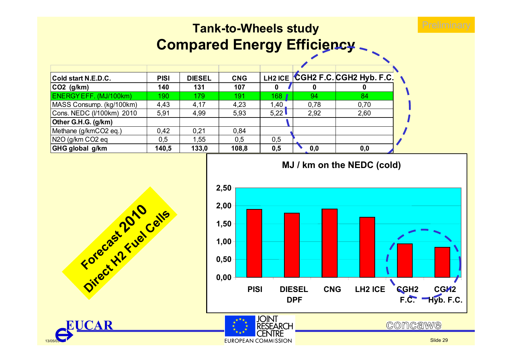# **Tank-to-Wheels study Compared Energy Efficiency \_**

| Cold start N.E.D.C.       | <b>PISI</b> | <b>DIESEL</b> | <b>CNG</b> |      |      | LH2 ICE CGH2 F.C. CGH2 Hyb. F.C. |  |
|---------------------------|-------------|---------------|------------|------|------|----------------------------------|--|
| CO2 (g/km)                | 140         | 131           | 107        |      |      |                                  |  |
| ENERGY EFF. (MJ/100km)    | 190         | 179           | 191        | 168  | 94   | 84                               |  |
| MASS Consump. (kg/100km)  | 4,43        | 4,17          | 4,23       | 1,40 | 0,78 | 0,70                             |  |
| Cons. NEDC (I/100km) 2010 | 5,91        | 4,99          | 5,93       | 5,22 | 2,92 | 2,60                             |  |
| Other G.H.G. (g/km)       |             |               |            |      |      |                                  |  |
| Methane (g/kmCO2 eq.)     | 0.42        | 0.21          | 0.84       |      |      |                                  |  |
| N2O (g/km CO2 eq          | 0,5         | 1,55          | 0,5        | 0,5  |      |                                  |  |
| GHG global g/km           | 140,5       | 133,0         | 108,8      | 0,5  | 0,0  | 0,0                              |  |





**RESEARCH CENTRE** 

13/05/03

**EUCAR**

**Forecast Floor** 

**Direct H2 Fuel Cells**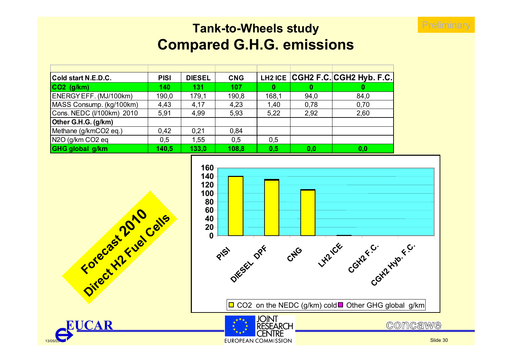

### **Tank-to-Wheels study Compared G.H.G. emissions**

| Cold start N.E.D.C.                       | <b>PISI</b> | <b>DIESEL</b> | <b>CNG</b> |       |      | LH2 ICE CGH2 F.C. CGH2 Hyb. F.C. |
|-------------------------------------------|-------------|---------------|------------|-------|------|----------------------------------|
| $CO2$ (g/km)                              | 140         | 131           | <b>107</b> | 0     |      |                                  |
| ENERGY EFF. (MJ/100km)                    | 190,0       | 179,1         | 190,8      | 168,1 | 94,0 | 84,0                             |
| MASS Consump. (kg/100km)                  | 4,43        | 4,17          | 4,23       | 1,40  | 0,78 | 0,70                             |
| Cons. NEDC (I/100km) 2010                 | 5,91        | 4,99          | 5,93       | 5,22  | 2,92 | 2,60                             |
| Other G.H.G. (g/km)                       |             |               |            |       |      |                                  |
| Methane (g/kmCO2 eq.)                     | 0.42        | 0.21          | 0.84       |       |      |                                  |
| N <sub>2</sub> O (g/km CO <sub>2</sub> eq | 0,5         | 1,55          | 0.5        | 0,5   |      |                                  |
| GHG global g/km                           | 140,5       | 133,0         | 108,8      | 0.5   | 0,0  | 0,0                              |



**CENTRE** 

**EUROPEAN COMMISSION** 



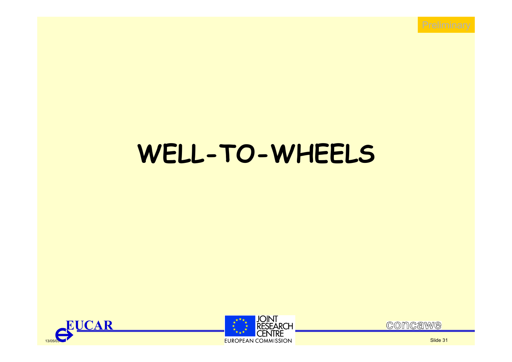

# **WELL-TO-WHEELS**







Slide 31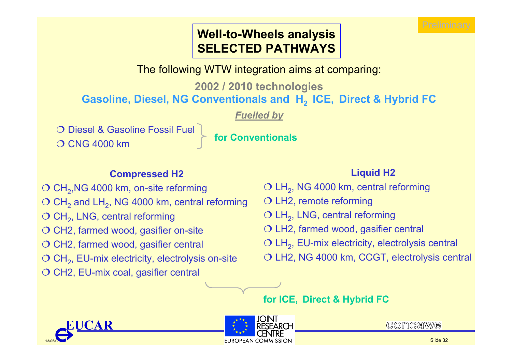### **Well-to-Wheels analysis SELECTED PATHWAYS**

The following WTW integration aims at comparing:

**2002 / 2010 technologies**

**Gasoline, Diesel, NG Conventionals and H2 ICE, Direct & Hybrid FC**

*Fuelled by*

O Diesel & Gasoline Fossil Fuel

O CNG 4000 km **for Conventionals** 

### **Compressed H2**

 $\textcircled{\circ}$  CH<sub>2</sub>,NG 4000 km, on-site reforming  $\textcircled{\circ}$  CH<sub>2</sub> and LH<sub>2</sub>, NG 4000 km, central reforming  $\bigcirc$  CH<sub>2</sub>, LNG, central reforming  $\bigcirc$  CH2, farmed wood, gasifier on-site  $\bigcirc$  CH2, farmed wood, gasifier central  $\textcircled{C}$  CH<sub>2</sub>, EU-mix electricity, electrolysis on-site  $\bigcirc$  CH2, EU-mix coal, gasifier central

### **Liquid H2**

 $\textcircled{\small{\sim}}$  LH<sub>2</sub>, NG 4000 km, central reforming

- LH2, remote reforming
- $\bigcirc$  LH<sub>2</sub>, LNG, central reforming
- LH2, farmed wood, gasifier central
- $\bigcirc$  LH<sub>2</sub>, EU-mix electricity, electrolysis central

 $\bigcirc$  LH2, NG 4000 km, CCGT, electrolysis central

**for ICE, Direct & Hybrid FC**





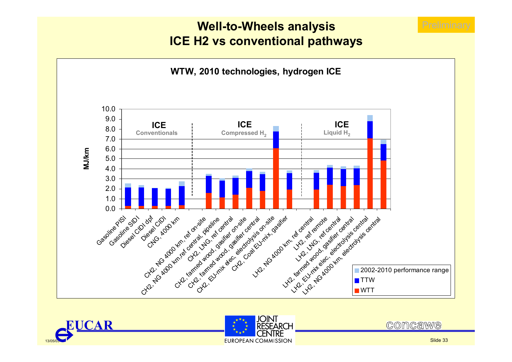### **Well-to-Wheels analysis ICE H2 vs conventional pathways**







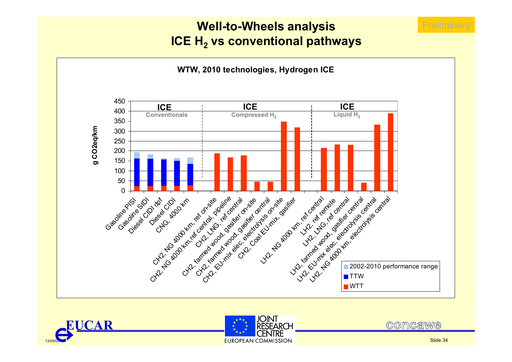### **Well-to-Wheels analysis ICE H2 vs conventional pathways**







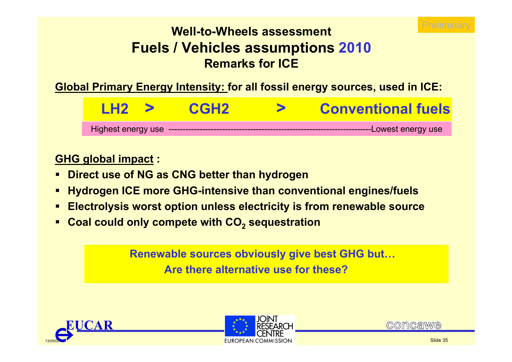

### **Well-to-Wheels assessmentFuels / Vehicles assumptions 2010 Remarks for ICE**

**Global Primary Energy Intensity: for all fossil energy sources, used in ICE:**

Highest energy use ------------------------------------------------------------------------Lowest energy use **LH2 >CGH2 > Conventional fuels**

### **GHG global impact :**

- **Direct use of NG as CNG better than hydrogen**
- **Hydrogen ICE more GHG-intensive than conventional engines/fuels**
- **Electrolysis worst option unless electricity is from renewable source**
- **Coal could only compete with CO2 sequestration**

**Renewable sources obviously give best GHG but… Are there alternative use for these?**





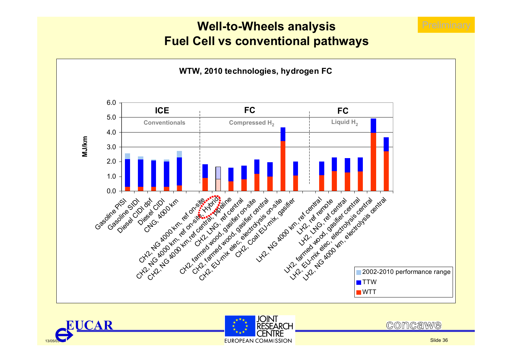### **Well-to-Wheels analysis Fuel Cell vs conventional pathways**







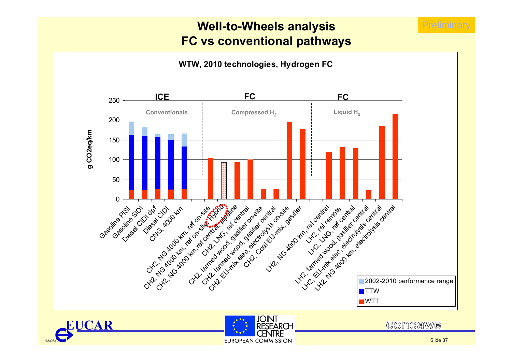### **Well-to-Wheels analysis FC vs conventional pathways**





13/05/03